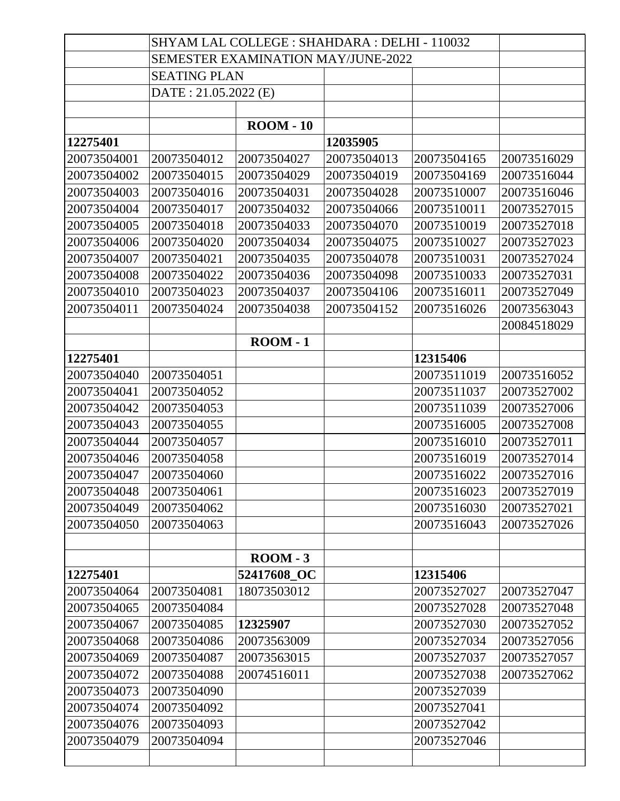|             | SHYAM LAL COLLEGE : SHAHDARA : DELHI - 110032 |                   |             |             |             |
|-------------|-----------------------------------------------|-------------------|-------------|-------------|-------------|
|             | <b>SEMESTER EXAMINATION MAY/JUNE-2022</b>     |                   |             |             |             |
|             | <b>SEATING PLAN</b>                           |                   |             |             |             |
|             | DATE: 21.05.2022 (E)                          |                   |             |             |             |
|             |                                               |                   |             |             |             |
|             |                                               | $\text{ROM} - 10$ |             |             |             |
| 12275401    |                                               |                   | 12035905    |             |             |
| 20073504001 | 20073504012                                   | 20073504027       | 20073504013 | 20073504165 | 20073516029 |
| 20073504002 | 20073504015                                   | 20073504029       | 20073504019 | 20073504169 | 20073516044 |
| 20073504003 | 20073504016                                   | 20073504031       | 20073504028 | 20073510007 | 20073516046 |
| 20073504004 | 20073504017                                   | 20073504032       | 20073504066 | 20073510011 | 20073527015 |
| 20073504005 | 20073504018                                   | 20073504033       | 20073504070 | 20073510019 | 20073527018 |
| 20073504006 | 20073504020                                   | 20073504034       | 20073504075 | 20073510027 | 20073527023 |
| 20073504007 | 20073504021                                   | 20073504035       | 20073504078 | 20073510031 | 20073527024 |
| 20073504008 | 20073504022                                   | 20073504036       | 20073504098 | 20073510033 | 20073527031 |
| 20073504010 | 20073504023                                   | 20073504037       | 20073504106 | 20073516011 | 20073527049 |
| 20073504011 | 20073504024                                   | 20073504038       | 20073504152 | 20073516026 | 20073563043 |
|             |                                               |                   |             |             | 20084518029 |
|             |                                               | $\text{ROM} - 1$  |             |             |             |
| 12275401    |                                               |                   |             | 12315406    |             |
| 20073504040 | 20073504051                                   |                   |             | 20073511019 | 20073516052 |
| 20073504041 | 20073504052                                   |                   |             | 20073511037 | 20073527002 |
| 20073504042 | 20073504053                                   |                   |             | 20073511039 | 20073527006 |
| 20073504043 | 20073504055                                   |                   |             | 20073516005 | 20073527008 |
| 20073504044 | 20073504057                                   |                   |             | 20073516010 | 20073527011 |
| 20073504046 | 20073504058                                   |                   |             | 20073516019 | 20073527014 |
| 20073504047 | 20073504060                                   |                   |             | 20073516022 | 20073527016 |
| 20073504048 | 20073504061                                   |                   |             | 20073516023 | 20073527019 |
| 20073504049 | 20073504062                                   |                   |             | 20073516030 | 20073527021 |
| 20073504050 | 20073504063                                   |                   |             | 20073516043 | 20073527026 |
|             |                                               |                   |             |             |             |
|             |                                               | $\text{ROM} - 3$  |             |             |             |
| 12275401    |                                               | 52417608_OC       |             | 12315406    |             |
| 20073504064 | 20073504081                                   | 18073503012       |             | 20073527027 | 20073527047 |
| 20073504065 | 20073504084                                   |                   |             | 20073527028 | 20073527048 |
| 20073504067 | 20073504085                                   | 12325907          |             | 20073527030 | 20073527052 |
| 20073504068 | 20073504086                                   | 20073563009       |             | 20073527034 | 20073527056 |
| 20073504069 | 20073504087                                   | 20073563015       |             | 20073527037 | 20073527057 |
| 20073504072 | 20073504088                                   | 20074516011       |             | 20073527038 | 20073527062 |
| 20073504073 | 20073504090                                   |                   |             | 20073527039 |             |
| 20073504074 | 20073504092                                   |                   |             | 20073527041 |             |
| 20073504076 | 20073504093                                   |                   |             | 20073527042 |             |
| 20073504079 | 20073504094                                   |                   |             | 20073527046 |             |
|             |                                               |                   |             |             |             |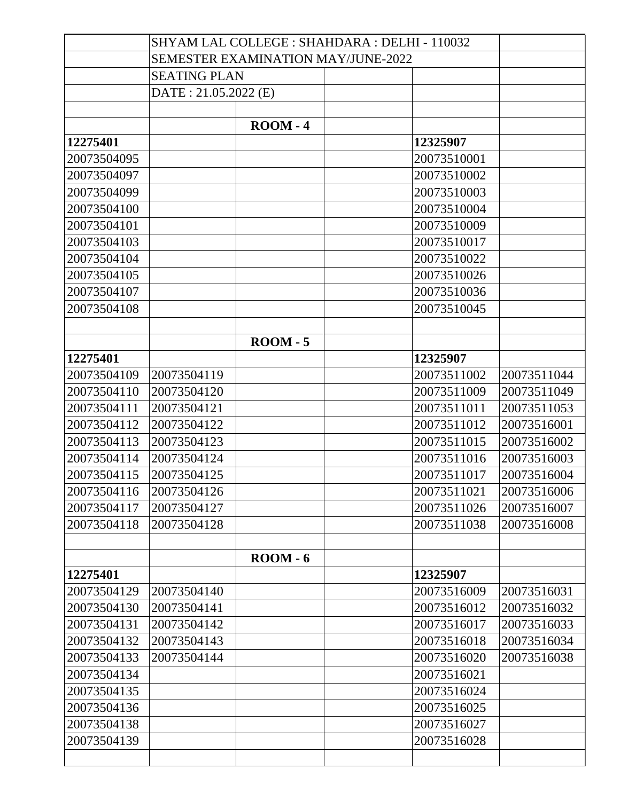|             |                                           |                  | SHYAM LAL COLLEGE : SHAHDARA : DELHI - 110032 |             |             |
|-------------|-------------------------------------------|------------------|-----------------------------------------------|-------------|-------------|
|             | <b>SEMESTER EXAMINATION MAY/JUNE-2022</b> |                  |                                               |             |             |
|             | <b>SEATING PLAN</b>                       |                  |                                               |             |             |
|             | DATE: 21.05.2022 (E)                      |                  |                                               |             |             |
|             |                                           |                  |                                               |             |             |
|             |                                           | $\text{ROM} - 4$ |                                               |             |             |
| 12275401    |                                           |                  |                                               | 12325907    |             |
| 20073504095 |                                           |                  |                                               | 20073510001 |             |
| 20073504097 |                                           |                  |                                               | 20073510002 |             |
| 20073504099 |                                           |                  |                                               | 20073510003 |             |
| 20073504100 |                                           |                  |                                               | 20073510004 |             |
| 20073504101 |                                           |                  |                                               | 20073510009 |             |
| 20073504103 |                                           |                  |                                               | 20073510017 |             |
| 20073504104 |                                           |                  |                                               | 20073510022 |             |
| 20073504105 |                                           |                  |                                               | 20073510026 |             |
| 20073504107 |                                           |                  |                                               | 20073510036 |             |
| 20073504108 |                                           |                  |                                               | 20073510045 |             |
|             |                                           |                  |                                               |             |             |
|             |                                           | $\text{ROM} - 5$ |                                               |             |             |
| 12275401    |                                           |                  |                                               | 12325907    |             |
| 20073504109 | 20073504119                               |                  |                                               | 20073511002 | 20073511044 |
| 20073504110 | 20073504120                               |                  |                                               | 20073511009 | 20073511049 |
| 20073504111 | 20073504121                               |                  |                                               | 20073511011 | 20073511053 |
| 20073504112 | 20073504122                               |                  |                                               | 20073511012 | 20073516001 |
| 20073504113 | 20073504123                               |                  |                                               | 20073511015 | 20073516002 |
| 20073504114 | 20073504124                               |                  |                                               | 20073511016 | 20073516003 |
| 20073504115 | 20073504125                               |                  |                                               | 20073511017 | 20073516004 |
| 20073504116 | 20073504126                               |                  |                                               | 20073511021 | 20073516006 |
| 20073504117 | 20073504127                               |                  |                                               | 20073511026 | 20073516007 |
| 20073504118 | 20073504128                               |                  |                                               | 20073511038 | 20073516008 |
|             |                                           |                  |                                               |             |             |
|             |                                           | $\text{ROM} - 6$ |                                               |             |             |
| 12275401    |                                           |                  |                                               | 12325907    |             |
| 20073504129 | 20073504140                               |                  |                                               | 20073516009 | 20073516031 |
| 20073504130 | 20073504141                               |                  |                                               | 20073516012 | 20073516032 |
| 20073504131 | 20073504142                               |                  |                                               | 20073516017 | 20073516033 |
| 20073504132 | 20073504143                               |                  |                                               | 20073516018 | 20073516034 |
| 20073504133 | 20073504144                               |                  |                                               | 20073516020 | 20073516038 |
| 20073504134 |                                           |                  |                                               | 20073516021 |             |
| 20073504135 |                                           |                  |                                               | 20073516024 |             |
| 20073504136 |                                           |                  |                                               | 20073516025 |             |
| 20073504138 |                                           |                  |                                               | 20073516027 |             |
| 20073504139 |                                           |                  |                                               | 20073516028 |             |
|             |                                           |                  |                                               |             |             |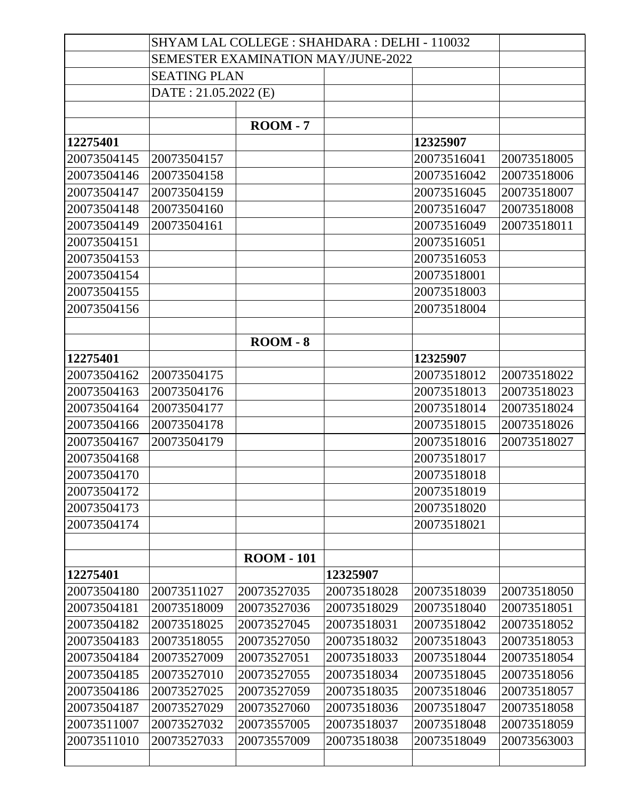|             | SHYAM LAL COLLEGE : SHAHDARA : DELHI - 110032 |                   |             |             |             |
|-------------|-----------------------------------------------|-------------------|-------------|-------------|-------------|
|             | <b>SEMESTER EXAMINATION MAY/JUNE-2022</b>     |                   |             |             |             |
|             | <b>SEATING PLAN</b>                           |                   |             |             |             |
|             | DATE: 21.05.2022 (E)                          |                   |             |             |             |
|             |                                               |                   |             |             |             |
|             |                                               | $\text{ROM} - 7$  |             |             |             |
| 12275401    |                                               |                   |             | 12325907    |             |
| 20073504145 | 20073504157                                   |                   |             | 20073516041 | 20073518005 |
| 20073504146 | 20073504158                                   |                   |             | 20073516042 | 20073518006 |
| 20073504147 | 20073504159                                   |                   |             | 20073516045 | 20073518007 |
| 20073504148 | 20073504160                                   |                   |             | 20073516047 | 20073518008 |
| 20073504149 | 20073504161                                   |                   |             | 20073516049 | 20073518011 |
| 20073504151 |                                               |                   |             | 20073516051 |             |
| 20073504153 |                                               |                   |             | 20073516053 |             |
| 20073504154 |                                               |                   |             | 20073518001 |             |
| 20073504155 |                                               |                   |             | 20073518003 |             |
| 20073504156 |                                               |                   |             | 20073518004 |             |
|             |                                               |                   |             |             |             |
|             |                                               | $\text{ROM} - 8$  |             |             |             |
| 12275401    |                                               |                   |             | 12325907    |             |
| 20073504162 | 20073504175                                   |                   |             | 20073518012 | 20073518022 |
| 20073504163 | 20073504176                                   |                   |             | 20073518013 | 20073518023 |
| 20073504164 | 20073504177                                   |                   |             | 20073518014 | 20073518024 |
| 20073504166 | 20073504178                                   |                   |             | 20073518015 | 20073518026 |
| 20073504167 | 20073504179                                   |                   |             | 20073518016 | 20073518027 |
| 20073504168 |                                               |                   |             | 20073518017 |             |
| 20073504170 |                                               |                   |             | 20073518018 |             |
| 20073504172 |                                               |                   |             | 20073518019 |             |
| 20073504173 |                                               |                   |             | 20073518020 |             |
| 20073504174 |                                               |                   |             | 20073518021 |             |
|             |                                               |                   |             |             |             |
|             |                                               | <b>ROOM - 101</b> |             |             |             |
| 12275401    |                                               |                   | 12325907    |             |             |
| 20073504180 | 20073511027                                   | 20073527035       | 20073518028 | 20073518039 | 20073518050 |
| 20073504181 | 20073518009                                   | 20073527036       | 20073518029 | 20073518040 | 20073518051 |
| 20073504182 | 20073518025                                   | 20073527045       | 20073518031 | 20073518042 | 20073518052 |
| 20073504183 | 20073518055                                   | 20073527050       | 20073518032 | 20073518043 | 20073518053 |
| 20073504184 | 20073527009                                   | 20073527051       | 20073518033 | 20073518044 | 20073518054 |
| 20073504185 | 20073527010                                   | 20073527055       | 20073518034 | 20073518045 | 20073518056 |
| 20073504186 | 20073527025                                   | 20073527059       | 20073518035 | 20073518046 | 20073518057 |
| 20073504187 | 20073527029                                   | 20073527060       | 20073518036 | 20073518047 | 20073518058 |
| 20073511007 | 20073527032                                   | 20073557005       | 20073518037 | 20073518048 | 20073518059 |
| 20073511010 | 20073527033                                   | 20073557009       | 20073518038 | 20073518049 | 20073563003 |
|             |                                               |                   |             |             |             |